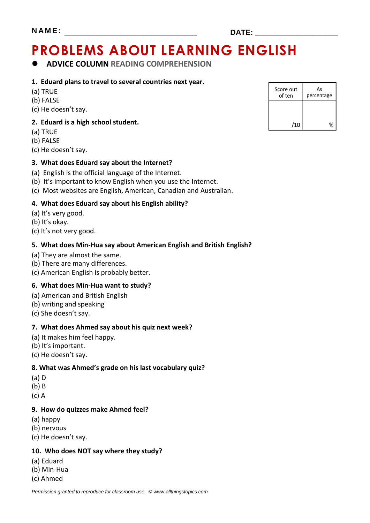# **PROBLEMS ABOUT LEARNING ENGLISH**

## **ADVICE COLUMN READING COMPREHENSION**

#### **1. Eduard plans to travel to several countries next year.**

- (a) TRUE
- (b) FALSE
- (c) He doesn't say.

### **2. Eduard is a high school student.**

- (a) TRUE
- (b) FALSE
- (c) He doesn't say.

### **3. What does Eduard say about the Internet?**

- (a) English is the official language of the Internet.
- (b) It's important to know English when you use the Internet.
- (c) Most websites are English, American, Canadian and Australian.

### **4. What does Eduard say about his English ability?**

- (a) It's very good.
- (b) It's okay.
- (c) It's not very good.

### **5. What does Min-Hua say about American English and British English?**

- (a) They are almost the same.
- (b) There are many differences.
- (c) American English is probably better.

### **6. What does Min-Hua want to study?**

- (a) American and British English
- (b) writing and speaking
- (c) She doesn't say.

#### **7. What does Ahmed say about his quiz next week?**

- (a) It makes him feel happy.
- (b) It's important.
- (c) He doesn't say.

### **8. What was Ahmed's grade on his last vocabulary quiz?**

- (a) D
- (b) B
- (c) A

#### **9. How do quizzes make Ahmed feel?**

- (a) happy
- (b) nervous
- (c) He doesn't say.

#### **10. Who does NOT say where they study?**

- (a) Eduard
- (b) Min-Hua
- (c) Ahmed